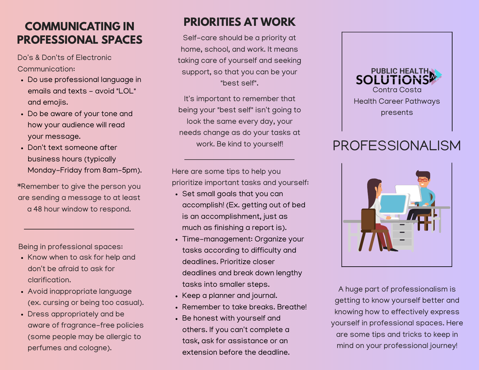### **COMMUNICATING IN PROFESSIONAL SPACES**

Do's & Don'ts of Electronic Communication:

- Do use professional language in emails and texts - avoid "LOL" and emojis.
- Do be aware of your tone and how your audience will read your message.
- Don't text someone after business hours (typically Monday-Friday from 8am-5pm).

\*Remember to give the person you are sending a message to at least a 48 hour window to respond.

Being in professional spaces:

- Know when to ask for help and don't be afraid to ask for clarification.
- Avoid inappropriate language (ex. cursing or being too casual).
- Dress appropriately and be aware of fragrance-free policies (some people may be allergic to perfumes and cologne).

# **PRIORITIES AT WORK**

Self-care should be a priority at home, school, and work. It means taking care of yourself and seeking support, so that you can be your "best self".

It's important to remember that being your "best self" isn't going to look the same every day, your needs change as do your tasks at work. Be kind to yourself!

Here are some tips to help you prioritize important tasks and yourself:

- Set small goals that you can accomplish! (Ex. getting out of bed is an accomplishment, just as much as finishing a report is).
- Time-management: Organize your tasks according to difficulty and deadlines. Prioritize closer deadlines and break down lengthy tasks into smaller steps.
- Keep a planner and journal.
- Remember to take breaks. Breathe!
- Be honest with yourself and others. If you can't complete a task, ask for assistance or an extension before the deadline.



# PROFESSIONALISM



A huge part of professionalism is getting to know yourself better and knowing how to effectively express yourself in professional spaces. Here are some tips and tricks to keep in mind on your professional journey!